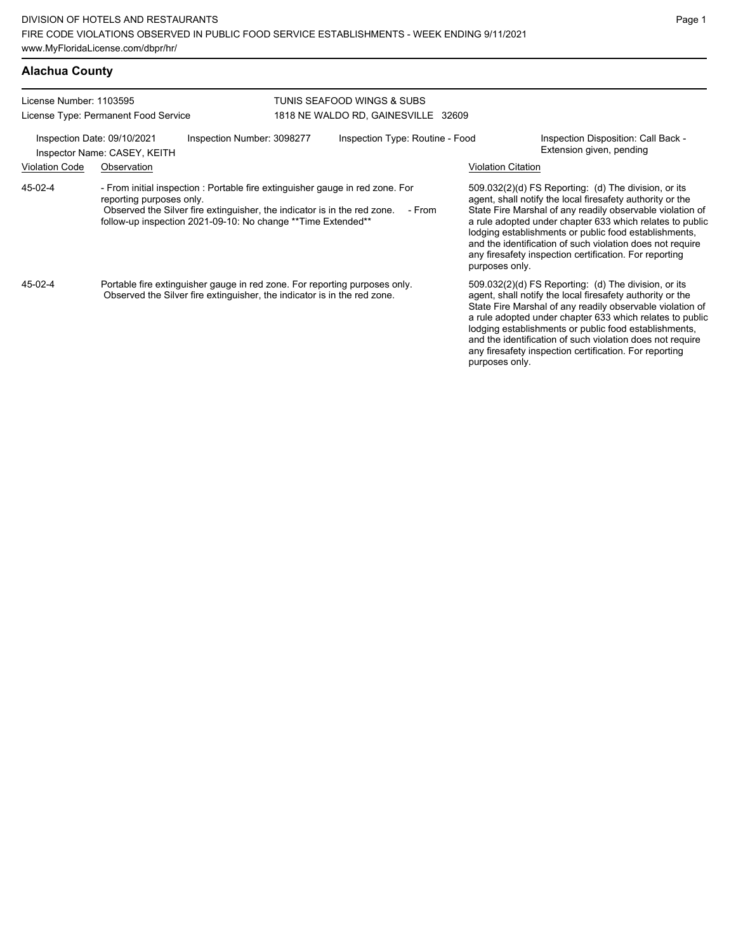## **Alachua County**

| License Number: 1103595                                     |                                      |                                                                                                                                                                                                                            | TUNIS SEAFOOD WINGS & SUBS          |                           |                                                                                                                                                                                                                                                                                                                                                                                                                              |
|-------------------------------------------------------------|--------------------------------------|----------------------------------------------------------------------------------------------------------------------------------------------------------------------------------------------------------------------------|-------------------------------------|---------------------------|------------------------------------------------------------------------------------------------------------------------------------------------------------------------------------------------------------------------------------------------------------------------------------------------------------------------------------------------------------------------------------------------------------------------------|
|                                                             | License Type: Permanent Food Service |                                                                                                                                                                                                                            | 1818 NE WALDO RD, GAINESVILLE 32609 |                           |                                                                                                                                                                                                                                                                                                                                                                                                                              |
| Inspection Date: 09/10/2021<br>Inspector Name: CASEY, KEITH |                                      | Inspection Number: 3098277                                                                                                                                                                                                 | Inspection Type: Routine - Food     |                           | Inspection Disposition: Call Back -<br>Extension given, pending                                                                                                                                                                                                                                                                                                                                                              |
| <b>Violation Code</b>                                       | Observation                          |                                                                                                                                                                                                                            |                                     | <b>Violation Citation</b> |                                                                                                                                                                                                                                                                                                                                                                                                                              |
| 45-02-4                                                     | reporting purposes only.             | - From initial inspection : Portable fire extinguisher gauge in red zone. For<br>Observed the Silver fire extinguisher, the indicator is in the red zone.<br>follow-up inspection 2021-09-10: No change ** Time Extended** | - From                              | purposes only.            | $509.032(2)(d)$ FS Reporting: (d) The division, or its<br>agent, shall notify the local firesafety authority or the<br>State Fire Marshal of any readily observable violation of<br>a rule adopted under chapter 633 which relates to public<br>lodging establishments or public food establishments,<br>and the identification of such violation does not require<br>any firesafety inspection certification. For reporting |
| 45-02-4                                                     |                                      | Portable fire extinguisher gauge in red zone. For reporting purposes only.<br>Observed the Silver fire extinguisher, the indicator is in the red zone.                                                                     |                                     | purposes only.            | 509.032(2)(d) FS Reporting: (d) The division, or its<br>agent, shall notify the local firesafety authority or the<br>State Fire Marshal of any readily observable violation of<br>a rule adopted under chapter 633 which relates to public<br>lodging establishments or public food establishments,<br>and the identification of such violation does not require<br>any firesafety inspection certification. For reporting   |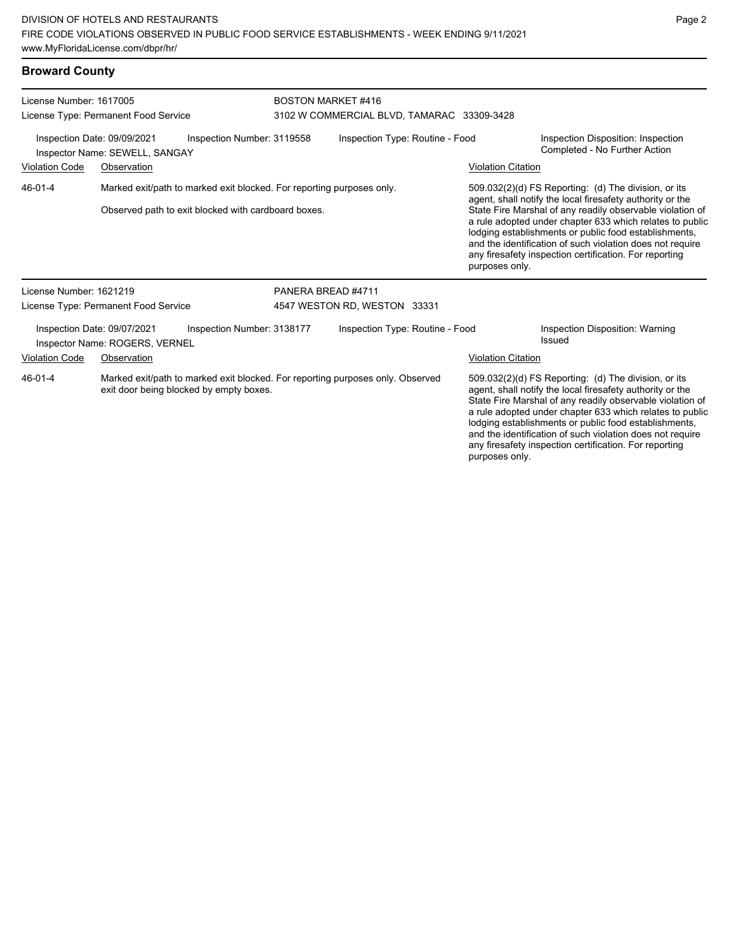#### **Broward County**

| License Number: 1617005<br>License Type: Permanent Food Service                             |                                                               | <b>BOSTON MARKET #416</b><br>3102 W COMMERCIAL BLVD, TAMARAC 33309-3428                                                      |                    |                                 |  |                           |                                                                                                                                                                                                                                                                                                                                                                                                                            |
|---------------------------------------------------------------------------------------------|---------------------------------------------------------------|------------------------------------------------------------------------------------------------------------------------------|--------------------|---------------------------------|--|---------------------------|----------------------------------------------------------------------------------------------------------------------------------------------------------------------------------------------------------------------------------------------------------------------------------------------------------------------------------------------------------------------------------------------------------------------------|
| Inspection Date: 09/09/2021<br>Inspection Number: 3119558<br>Inspector Name: SEWELL, SANGAY |                                                               |                                                                                                                              |                    | Inspection Type: Routine - Food |  |                           | Inspection Disposition: Inspection<br>Completed - No Further Action                                                                                                                                                                                                                                                                                                                                                        |
| <b>Violation Code</b>                                                                       | Observation                                                   |                                                                                                                              |                    |                                 |  | <b>Violation Citation</b> |                                                                                                                                                                                                                                                                                                                                                                                                                            |
| 46-01-4                                                                                     |                                                               | Marked exit/path to marked exit blocked. For reporting purposes only.<br>Observed path to exit blocked with cardboard boxes. |                    |                                 |  | purposes only.            | 509.032(2)(d) FS Reporting: (d) The division, or its<br>agent, shall notify the local firesafety authority or the<br>State Fire Marshal of any readily observable violation of<br>a rule adopted under chapter 633 which relates to public<br>lodging establishments or public food establishments,<br>and the identification of such violation does not require<br>any firesafety inspection certification. For reporting |
| License Number: 1621219                                                                     |                                                               |                                                                                                                              | PANERA BREAD #4711 |                                 |  |                           |                                                                                                                                                                                                                                                                                                                                                                                                                            |
|                                                                                             | License Type: Permanent Food Service                          |                                                                                                                              |                    | 4547 WESTON RD, WESTON 33331    |  |                           |                                                                                                                                                                                                                                                                                                                                                                                                                            |
|                                                                                             | Inspection Date: 09/07/2021<br>Inspector Name: ROGERS, VERNEL | Inspection Number: 3138177                                                                                                   |                    | Inspection Type: Routine - Food |  |                           | Inspection Disposition: Warning<br>Issued                                                                                                                                                                                                                                                                                                                                                                                  |
| <b>Violation Code</b>                                                                       | Observation                                                   |                                                                                                                              |                    |                                 |  | <b>Violation Citation</b> |                                                                                                                                                                                                                                                                                                                                                                                                                            |
| 46-01-4                                                                                     |                                                               | Marked exit/path to marked exit blocked. For reporting purposes only. Observed<br>exit door being blocked by empty boxes.    |                    |                                 |  |                           | 509.032(2)(d) FS Reporting: (d) The division, or its<br>agent, shall notify the local firesafety authority or the<br>State Fire Marshal of any readily observable violation of<br>a rule adopted under chapter 633 which relates to public<br>lodging establishments or public food establishments,                                                                                                                        |

and the identification of such violation does not require any firesafety inspection certification. For reporting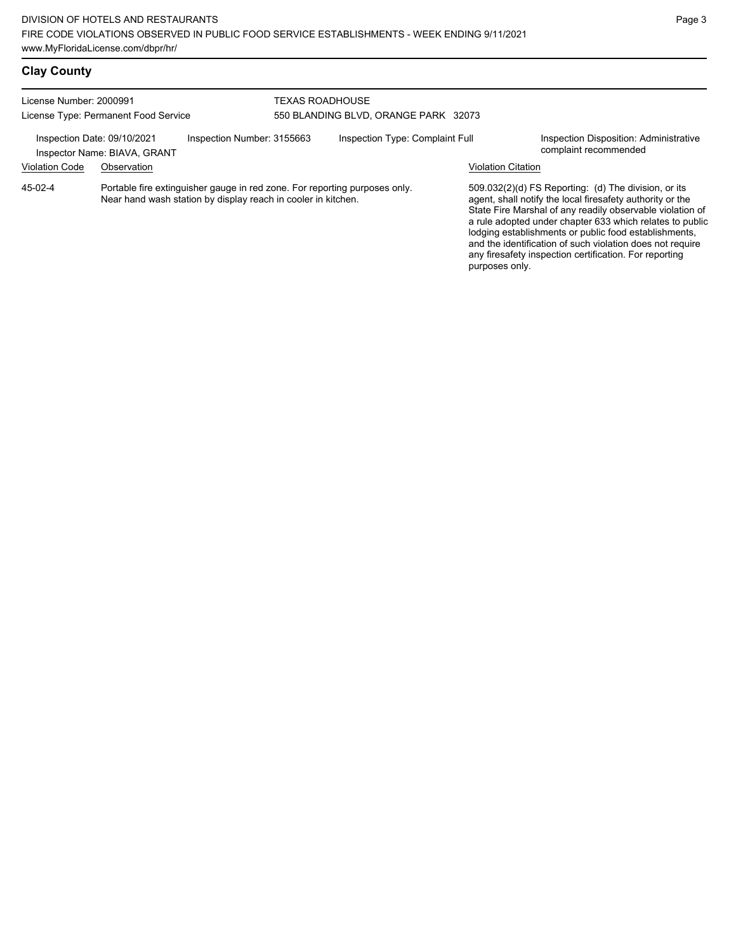| License Number: 2000991<br>License Type: Permanent Food Service                           |             |                                                                                                                                             | TEXAS ROADHOUSE<br>550 BLANDING BLVD, ORANGE PARK 32073 |  |                                                                 |                                                                                                                                                                                                                                                                                                                                                                                                                              |  |
|-------------------------------------------------------------------------------------------|-------------|---------------------------------------------------------------------------------------------------------------------------------------------|---------------------------------------------------------|--|-----------------------------------------------------------------|------------------------------------------------------------------------------------------------------------------------------------------------------------------------------------------------------------------------------------------------------------------------------------------------------------------------------------------------------------------------------------------------------------------------------|--|
| Inspection Date: 09/10/2021<br>Inspection Number: 3155663<br>Inspector Name: BIAVA, GRANT |             | Inspection Type: Complaint Full                                                                                                             |                                                         |  | Inspection Disposition: Administrative<br>complaint recommended |                                                                                                                                                                                                                                                                                                                                                                                                                              |  |
| <b>Violation Code</b>                                                                     | Observation |                                                                                                                                             |                                                         |  | <b>Violation Citation</b>                                       |                                                                                                                                                                                                                                                                                                                                                                                                                              |  |
| 45-02-4                                                                                   |             | Portable fire extinguisher gauge in red zone. For reporting purposes only.<br>Near hand wash station by display reach in cooler in kitchen. |                                                         |  | purposes only.                                                  | $509.032(2)(d)$ FS Reporting: (d) The division, or its<br>agent, shall notify the local firesafety authority or the<br>State Fire Marshal of any readily observable violation of<br>a rule adopted under chapter 633 which relates to public<br>lodging establishments or public food establishments,<br>and the identification of such violation does not require<br>any firesafety inspection certification. For reporting |  |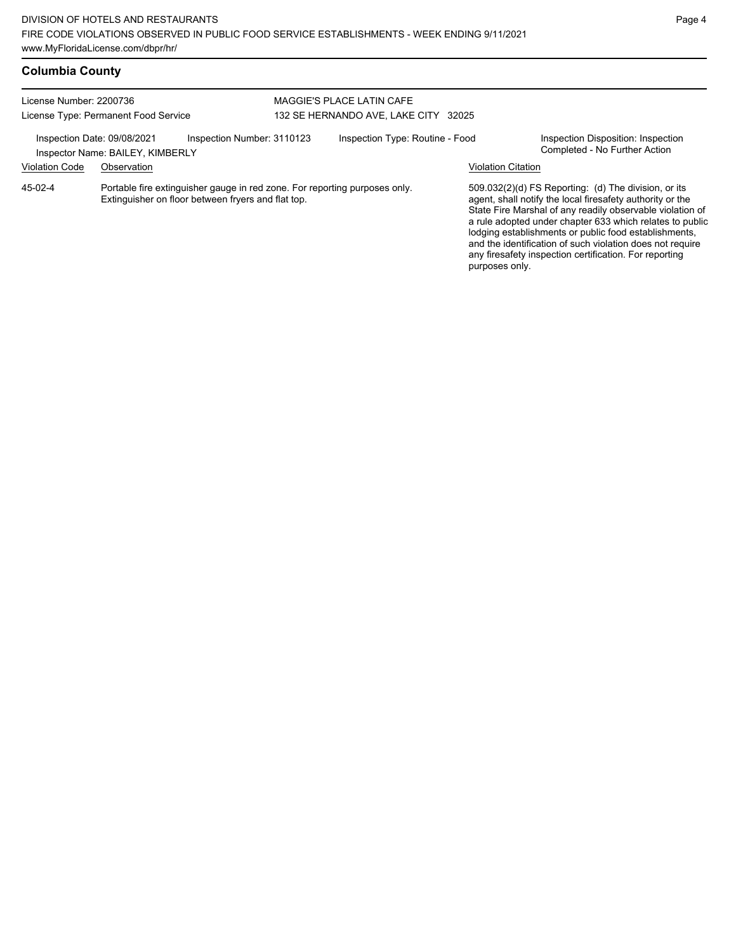| <b>Columbia County</b> |  |
|------------------------|--|
|------------------------|--|

| License Number: 2200736<br>License Type: Permanent Food Service |                                                 |                                                                                                                                  | MAGGIE'S PLACE LATIN CAFE<br>132 SE HERNANDO AVE, LAKE CITY 32025 |                                 |                           |                                                                                                                                                                                                                                                                                                                                                                                                                            |
|-----------------------------------------------------------------|-------------------------------------------------|----------------------------------------------------------------------------------------------------------------------------------|-------------------------------------------------------------------|---------------------------------|---------------------------|----------------------------------------------------------------------------------------------------------------------------------------------------------------------------------------------------------------------------------------------------------------------------------------------------------------------------------------------------------------------------------------------------------------------------|
| Inspection Date: 09/08/2021<br><b>Violation Code</b>            | Inspector Name: BAILEY, KIMBERLY<br>Observation | Inspection Number: 3110123                                                                                                       |                                                                   | Inspection Type: Routine - Food | <b>Violation Citation</b> | Inspection Disposition: Inspection<br>Completed - No Further Action                                                                                                                                                                                                                                                                                                                                                        |
| 45-02-4                                                         |                                                 | Portable fire extinguisher gauge in red zone. For reporting purposes only.<br>Extinguisher on floor between fryers and flat top. |                                                                   |                                 | purposes only.            | 509.032(2)(d) FS Reporting: (d) The division, or its<br>agent, shall notify the local firesafety authority or the<br>State Fire Marshal of any readily observable violation of<br>a rule adopted under chapter 633 which relates to public<br>lodging establishments or public food establishments,<br>and the identification of such violation does not require<br>any firesafety inspection certification. For reporting |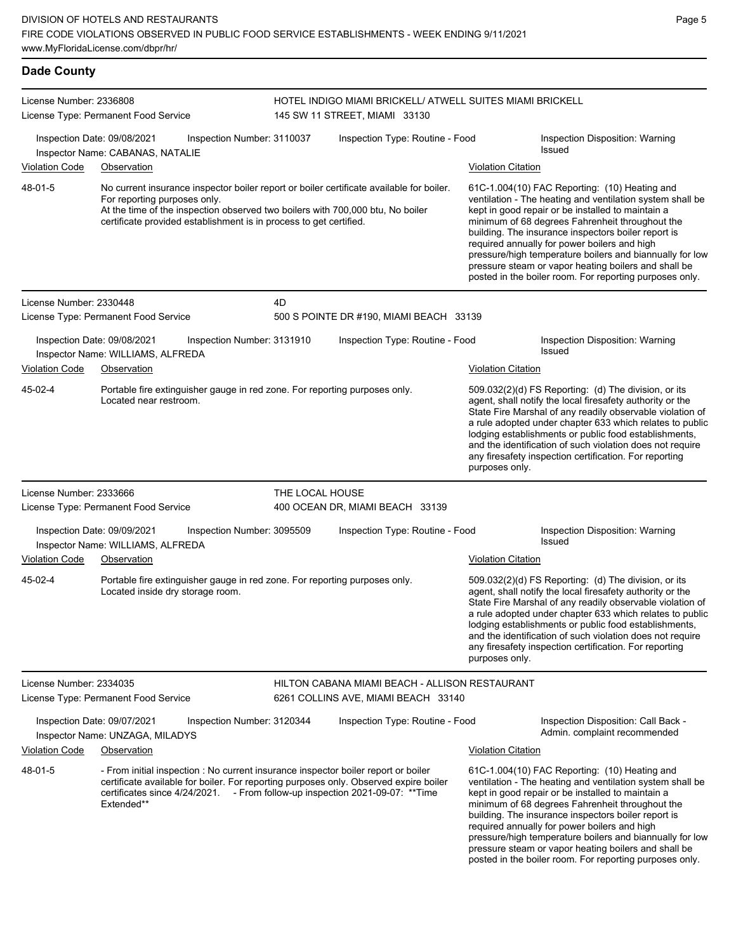| <b>Dade County</b>      |                                                                                                                                                                                                                                                                                  |                 |                                                                                            |                           |                                                                                                                                                                                                                                                                                                                                                                                                                                                                                                          |
|-------------------------|----------------------------------------------------------------------------------------------------------------------------------------------------------------------------------------------------------------------------------------------------------------------------------|-----------------|--------------------------------------------------------------------------------------------|---------------------------|----------------------------------------------------------------------------------------------------------------------------------------------------------------------------------------------------------------------------------------------------------------------------------------------------------------------------------------------------------------------------------------------------------------------------------------------------------------------------------------------------------|
| License Number: 2336808 | License Type: Permanent Food Service                                                                                                                                                                                                                                             |                 | HOTEL INDIGO MIAMI BRICKELL/ ATWELL SUITES MIAMI BRICKELL<br>145 SW 11 STREET, MIAMI 33130 |                           |                                                                                                                                                                                                                                                                                                                                                                                                                                                                                                          |
| Violation Code          | Inspection Date: 09/08/2021<br>Inspection Number: 3110037<br>Inspector Name: CABANAS, NATALIE<br>Observation                                                                                                                                                                     |                 | Inspection Type: Routine - Food                                                            |                           | Inspection Disposition: Warning<br><b>Issued</b>                                                                                                                                                                                                                                                                                                                                                                                                                                                         |
| 48-01-5                 | No current insurance inspector boiler report or boiler certificate available for boiler.<br>For reporting purposes only.<br>At the time of the inspection observed two boilers with 700,000 btu, No boiler<br>certificate provided establishment is in process to get certified. |                 |                                                                                            | <b>Violation Citation</b> | 61C-1.004(10) FAC Reporting: (10) Heating and<br>ventilation - The heating and ventilation system shall be<br>kept in good repair or be installed to maintain a<br>minimum of 68 degrees Fahrenheit throughout the<br>building. The insurance inspectors boiler report is<br>required annually for power boilers and high<br>pressure/high temperature boilers and biannually for low<br>pressure steam or vapor heating boilers and shall be<br>posted in the boiler room. For reporting purposes only. |
| License Number: 2330448 | License Type: Permanent Food Service                                                                                                                                                                                                                                             | 4D              | 500 S POINTE DR #190, MIAMI BEACH 33139                                                    |                           |                                                                                                                                                                                                                                                                                                                                                                                                                                                                                                          |
| Violation Code          | Inspection Date: 09/08/2021<br>Inspection Number: 3131910<br>Inspector Name: WILLIAMS, ALFREDA<br>Observation                                                                                                                                                                    |                 | Inspection Type: Routine - Food                                                            | <b>Violation Citation</b> | Inspection Disposition: Warning<br><b>Issued</b>                                                                                                                                                                                                                                                                                                                                                                                                                                                         |
| 45-02-4                 | Portable fire extinguisher gauge in red zone. For reporting purposes only.<br>Located near restroom.                                                                                                                                                                             |                 |                                                                                            | purposes only.            | 509.032(2)(d) FS Reporting: (d) The division, or its<br>agent, shall notify the local firesafety authority or the<br>State Fire Marshal of any readily observable violation of<br>a rule adopted under chapter 633 which relates to public<br>lodging establishments or public food establishments,<br>and the identification of such violation does not require<br>any firesafety inspection certification. For reporting                                                                               |
| License Number: 2333666 | License Type: Permanent Food Service                                                                                                                                                                                                                                             | THE LOCAL HOUSE | 400 OCEAN DR, MIAMI BEACH 33139                                                            |                           |                                                                                                                                                                                                                                                                                                                                                                                                                                                                                                          |
| Violation Code          | Inspection Date: 09/09/2021<br>Inspection Number: 3095509<br>Inspector Name: WILLIAMS, ALFREDA<br>Observation                                                                                                                                                                    |                 | Inspection Type: Routine - Food                                                            | <b>Violation Citation</b> | Inspection Disposition: Warning<br><b>Issued</b>                                                                                                                                                                                                                                                                                                                                                                                                                                                         |
| 45-02-4                 | Portable fire extinguisher gauge in red zone. For reporting purposes only.<br>Located inside dry storage room.                                                                                                                                                                   |                 |                                                                                            | purposes only.            | 509.032(2)(d) FS Reporting: (d) The division, or its<br>agent, shall notify the local firesafety authority or the<br>State Fire Marshal of any readily observable violation of<br>a rule adopted under chapter 633 which relates to public<br>lodging establishments or public food establishments,<br>and the identification of such violation does not require<br>any firesafety inspection certification. For reporting                                                                               |
| License Number: 2334035 | License Type: Permanent Food Service                                                                                                                                                                                                                                             |                 | HILTON CABANA MIAMI BEACH - ALLISON RESTAURANT<br>6261 COLLINS AVE, MIAMI BEACH 33140      |                           |                                                                                                                                                                                                                                                                                                                                                                                                                                                                                                          |
| <b>Violation Code</b>   | Inspection Date: 09/07/2021<br>Inspection Number: 3120344<br>Inspector Name: UNZAGA, MILADYS<br>Observation                                                                                                                                                                      |                 | Inspection Type: Routine - Food                                                            | <b>Violation Citation</b> | Inspection Disposition: Call Back -<br>Admin. complaint recommended                                                                                                                                                                                                                                                                                                                                                                                                                                      |
| 48-01-5                 | - From initial inspection : No current insurance inspector boiler report or boiler<br>certificate available for boiler. For reporting purposes only. Observed expire boiler<br>certificates since 4/24/2021. - From follow-up inspection 2021-09-07: ** Time<br>Extended**       |                 |                                                                                            |                           | 61C-1.004(10) FAC Reporting: (10) Heating and<br>ventilation - The heating and ventilation system shall be<br>kept in good repair or be installed to maintain a<br>minimum of 68 degrees Fahrenheit throughout the<br>building. The insurance inspectors boiler report is<br>required annually for power boilers and high<br>pressure/high temperature boilers and biannually for low                                                                                                                    |

pressure steam or vapor heating boilers and shall be posted in the boiler room. For reporting purposes only.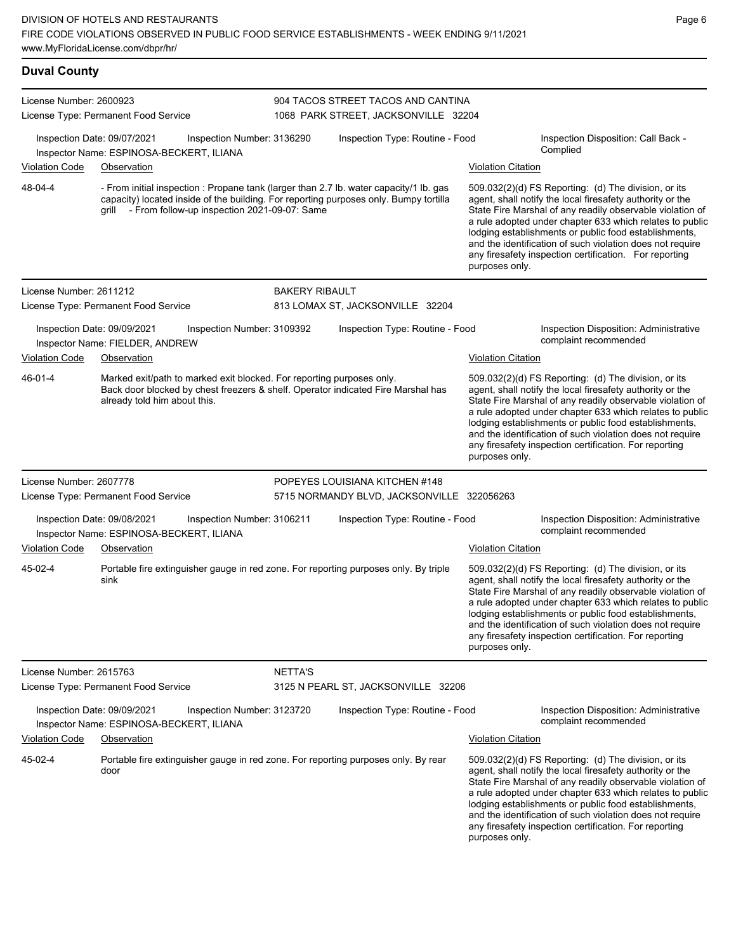| <b>Duval County</b>     |                                                                                        |                                                                       |                       |                                                                                                                                                                                 |                           |                                                                                                                                                                                                                                                                                                                                                                                                                            |
|-------------------------|----------------------------------------------------------------------------------------|-----------------------------------------------------------------------|-----------------------|---------------------------------------------------------------------------------------------------------------------------------------------------------------------------------|---------------------------|----------------------------------------------------------------------------------------------------------------------------------------------------------------------------------------------------------------------------------------------------------------------------------------------------------------------------------------------------------------------------------------------------------------------------|
| License Number: 2600923 | License Type: Permanent Food Service                                                   |                                                                       |                       | 904 TACOS STREET TACOS AND CANTINA<br>1068 PARK STREET, JACKSONVILLE 32204                                                                                                      |                           |                                                                                                                                                                                                                                                                                                                                                                                                                            |
|                         | Inspection Date: 09/07/2021<br>Inspector Name: ESPINOSA-BECKERT, ILIANA                | Inspection Number: 3136290                                            |                       | Inspection Type: Routine - Food                                                                                                                                                 |                           | Inspection Disposition: Call Back -<br>Complied                                                                                                                                                                                                                                                                                                                                                                            |
| <b>Violation Code</b>   | Observation                                                                            |                                                                       |                       |                                                                                                                                                                                 | <b>Violation Citation</b> |                                                                                                                                                                                                                                                                                                                                                                                                                            |
| 48-04-4                 |                                                                                        | grill - From follow-up inspection 2021-09-07: Same                    |                       | - From initial inspection : Propane tank (larger than 2.7 lb. water capacity/1 lb. gas<br>capacity) located inside of the building. For reporting purposes only. Bumpy tortilla | purposes only.            | 509.032(2)(d) FS Reporting: (d) The division, or its<br>agent, shall notify the local firesafety authority or the<br>State Fire Marshal of any readily observable violation of<br>a rule adopted under chapter 633 which relates to public<br>lodging establishments or public food establishments,<br>and the identification of such violation does not require<br>any firesafety inspection certification. For reporting |
| License Number: 2611212 |                                                                                        |                                                                       | <b>BAKERY RIBAULT</b> |                                                                                                                                                                                 |                           |                                                                                                                                                                                                                                                                                                                                                                                                                            |
|                         | License Type: Permanent Food Service                                                   |                                                                       |                       | 813 LOMAX ST, JACKSONVILLE 32204                                                                                                                                                |                           |                                                                                                                                                                                                                                                                                                                                                                                                                            |
|                         | Inspection Date: 09/09/2021<br>Inspector Name: FIELDER, ANDREW                         | Inspection Number: 3109392                                            |                       | Inspection Type: Routine - Food                                                                                                                                                 |                           | Inspection Disposition: Administrative<br>complaint recommended                                                                                                                                                                                                                                                                                                                                                            |
| Violation Code          | Observation                                                                            |                                                                       |                       |                                                                                                                                                                                 | <b>Violation Citation</b> |                                                                                                                                                                                                                                                                                                                                                                                                                            |
| 46-01-4                 | already told him about this.                                                           | Marked exit/path to marked exit blocked. For reporting purposes only. |                       | Back door blocked by chest freezers & shelf. Operator indicated Fire Marshal has                                                                                                | purposes only.            | 509.032(2)(d) FS Reporting: (d) The division, or its<br>agent, shall notify the local firesafety authority or the<br>State Fire Marshal of any readily observable violation of<br>a rule adopted under chapter 633 which relates to public<br>lodging establishments or public food establishments,<br>and the identification of such violation does not require<br>any firesafety inspection certification. For reporting |
| License Number: 2607778 |                                                                                        |                                                                       |                       | POPEYES LOUISIANA KITCHEN #148                                                                                                                                                  |                           |                                                                                                                                                                                                                                                                                                                                                                                                                            |
|                         | License Type: Permanent Food Service                                                   |                                                                       |                       | 5715 NORMANDY BLVD, JACKSONVILLE 322056263                                                                                                                                      |                           |                                                                                                                                                                                                                                                                                                                                                                                                                            |
| <b>Violation Code</b>   | Inspection Date: 09/08/2021<br>Inspector Name: ESPINOSA-BECKERT, ILIANA<br>Observation | Inspection Number: 3106211                                            |                       | Inspection Type: Routine - Food                                                                                                                                                 | <b>Violation Citation</b> | Inspection Disposition: Administrative<br>complaint recommended                                                                                                                                                                                                                                                                                                                                                            |
| 45-02-4                 | sink                                                                                   |                                                                       |                       | Portable fire extinguisher gauge in red zone. For reporting purposes only. By triple                                                                                            | purposes only.            | 509.032(2)(d) FS Reporting: (d) The division, or its<br>agent, shall notify the local firesafety authority or the<br>State Fire Marshal of any readily observable violation of<br>a rule adopted under chapter 633 which relates to public<br>lodging establishments or public food establishments,<br>and the identification of such violation does not require<br>any firesafety inspection certification. For reporting |
| License Number: 2615763 |                                                                                        |                                                                       | <b>NETTA'S</b>        |                                                                                                                                                                                 |                           |                                                                                                                                                                                                                                                                                                                                                                                                                            |
|                         | License Type: Permanent Food Service                                                   |                                                                       |                       | 3125 N PEARL ST, JACKSONVILLE 32206                                                                                                                                             |                           |                                                                                                                                                                                                                                                                                                                                                                                                                            |
|                         | Inspection Date: 09/09/2021<br>Inspector Name: ESPINOSA-BECKERT, ILIANA                | Inspection Number: 3123720                                            |                       | Inspection Type: Routine - Food                                                                                                                                                 |                           | Inspection Disposition: Administrative<br>complaint recommended                                                                                                                                                                                                                                                                                                                                                            |
| <b>Violation Code</b>   | Observation                                                                            |                                                                       |                       |                                                                                                                                                                                 | <b>Violation Citation</b> |                                                                                                                                                                                                                                                                                                                                                                                                                            |
| 45-02-4                 | door                                                                                   |                                                                       |                       | Portable fire extinguisher gauge in red zone. For reporting purposes only. By rear                                                                                              | purposes only.            | 509.032(2)(d) FS Reporting: (d) The division, or its<br>agent, shall notify the local firesafety authority or the<br>State Fire Marshal of any readily observable violation of<br>a rule adopted under chapter 633 which relates to public<br>lodging establishments or public food establishments,<br>and the identification of such violation does not require<br>any firesafety inspection certification. For reporting |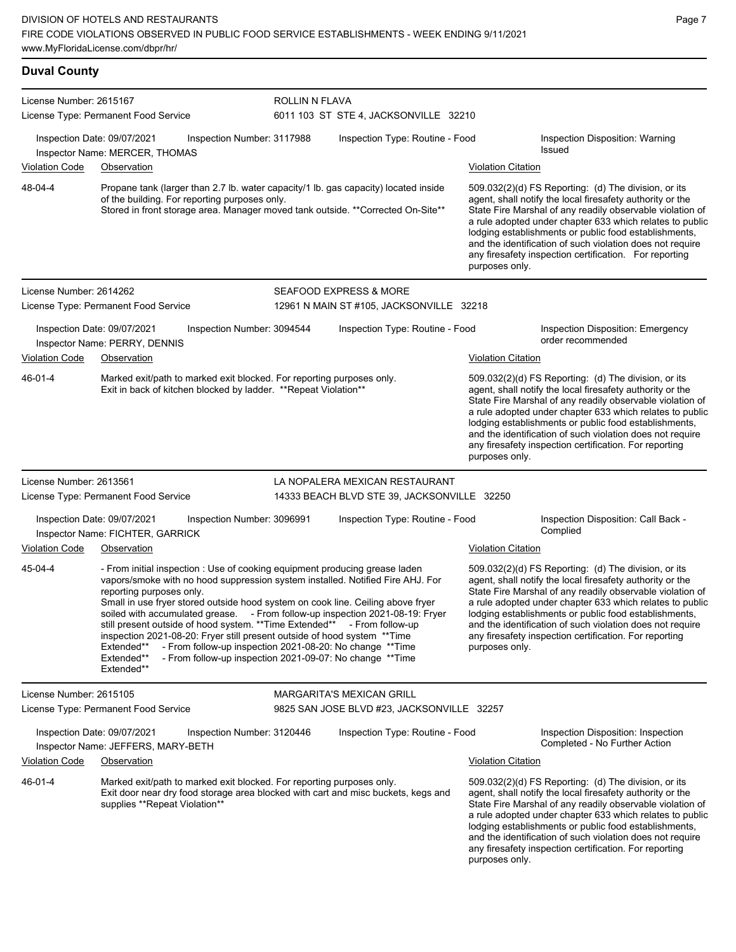| <b>Duval County</b>     |                                                                                                                                                                                                                                                                                                                                                                                                                                                                                                                                                  |                            |                                                                                                                                            |                           |                                                                                                                                                                                                                                                                                                                                                                                                                            |
|-------------------------|--------------------------------------------------------------------------------------------------------------------------------------------------------------------------------------------------------------------------------------------------------------------------------------------------------------------------------------------------------------------------------------------------------------------------------------------------------------------------------------------------------------------------------------------------|----------------------------|--------------------------------------------------------------------------------------------------------------------------------------------|---------------------------|----------------------------------------------------------------------------------------------------------------------------------------------------------------------------------------------------------------------------------------------------------------------------------------------------------------------------------------------------------------------------------------------------------------------------|
| License Number: 2615167 | License Type: Permanent Food Service                                                                                                                                                                                                                                                                                                                                                                                                                                                                                                             | ROLLIN N FLAVA             | 6011 103 ST STE 4, JACKSONVILLE 32210                                                                                                      |                           |                                                                                                                                                                                                                                                                                                                                                                                                                            |
|                         | Inspection Date: 09/07/2021<br>Inspector Name: MERCER, THOMAS                                                                                                                                                                                                                                                                                                                                                                                                                                                                                    | Inspection Number: 3117988 | Inspection Type: Routine - Food                                                                                                            |                           | Inspection Disposition: Warning<br>Issued                                                                                                                                                                                                                                                                                                                                                                                  |
| <b>Violation Code</b>   | Observation                                                                                                                                                                                                                                                                                                                                                                                                                                                                                                                                      |                            |                                                                                                                                            | <b>Violation Citation</b> |                                                                                                                                                                                                                                                                                                                                                                                                                            |
| 48-04-4                 | Propane tank (larger than 2.7 lb. water capacity/1 lb. gas capacity) located inside<br>of the building. For reporting purposes only.<br>Stored in front storage area. Manager moved tank outside. ** Corrected On-Site**                                                                                                                                                                                                                                                                                                                         |                            |                                                                                                                                            | purposes only.            | 509.032(2)(d) FS Reporting: (d) The division, or its<br>agent, shall notify the local firesafety authority or the<br>State Fire Marshal of any readily observable violation of<br>a rule adopted under chapter 633 which relates to public<br>lodging establishments or public food establishments,<br>and the identification of such violation does not require<br>any firesafety inspection certification. For reporting |
| License Number: 2614262 |                                                                                                                                                                                                                                                                                                                                                                                                                                                                                                                                                  |                            | <b>SEAFOOD EXPRESS &amp; MORE</b>                                                                                                          |                           |                                                                                                                                                                                                                                                                                                                                                                                                                            |
|                         | License Type: Permanent Food Service                                                                                                                                                                                                                                                                                                                                                                                                                                                                                                             |                            | 12961 N MAIN ST #105, JACKSONVILLE 32218                                                                                                   |                           |                                                                                                                                                                                                                                                                                                                                                                                                                            |
|                         | Inspection Date: 09/07/2021<br>Inspector Name: PERRY, DENNIS                                                                                                                                                                                                                                                                                                                                                                                                                                                                                     | Inspection Number: 3094544 | Inspection Type: Routine - Food                                                                                                            |                           | Inspection Disposition: Emergency<br>order recommended                                                                                                                                                                                                                                                                                                                                                                     |
| <b>Violation Code</b>   | Observation                                                                                                                                                                                                                                                                                                                                                                                                                                                                                                                                      |                            |                                                                                                                                            | <b>Violation Citation</b> |                                                                                                                                                                                                                                                                                                                                                                                                                            |
| 46-01-4                 | Marked exit/path to marked exit blocked. For reporting purposes only.<br>Exit in back of kitchen blocked by ladder. ** Repeat Violation**                                                                                                                                                                                                                                                                                                                                                                                                        |                            |                                                                                                                                            | purposes only.            | 509.032(2)(d) FS Reporting: (d) The division, or its<br>agent, shall notify the local firesafety authority or the<br>State Fire Marshal of any readily observable violation of<br>a rule adopted under chapter 633 which relates to public<br>lodging establishments or public food establishments,<br>and the identification of such violation does not require<br>any firesafety inspection certification. For reporting |
| License Number: 2613561 |                                                                                                                                                                                                                                                                                                                                                                                                                                                                                                                                                  |                            | LA NOPALERA MEXICAN RESTAURANT                                                                                                             |                           |                                                                                                                                                                                                                                                                                                                                                                                                                            |
|                         | License Type: Permanent Food Service                                                                                                                                                                                                                                                                                                                                                                                                                                                                                                             |                            | 14333 BEACH BLVD STE 39, JACKSONVILLE 32250                                                                                                |                           |                                                                                                                                                                                                                                                                                                                                                                                                                            |
|                         | Inspection Date: 09/07/2021<br>Inspector Name: FICHTER, GARRICK                                                                                                                                                                                                                                                                                                                                                                                                                                                                                  | Inspection Number: 3096991 | Inspection Type: Routine - Food                                                                                                            |                           | Inspection Disposition: Call Back -<br>Complied                                                                                                                                                                                                                                                                                                                                                                            |
| <b>Violation Code</b>   | Observation                                                                                                                                                                                                                                                                                                                                                                                                                                                                                                                                      |                            |                                                                                                                                            | <b>Violation Citation</b> |                                                                                                                                                                                                                                                                                                                                                                                                                            |
| 45-04-4                 | - From initial inspection : Use of cooking equipment producing grease laden<br>vapors/smoke with no hood suppression system installed. Notified Fire AHJ. For<br>reporting purposes only.<br>Small in use fryer stored outside hood system on cook line. Ceiling above fryer<br>soiled with accumulated grease. - From follow-up inspection 2021-08-19: Fryer<br>still present outside of hood system. ** Time Extended**<br>inspection 2021-08-20: Fryer still present outside of hood system ** Time<br>Extended**<br>Extended**<br>Extended** |                            | - From follow-up<br>- From follow-up inspection 2021-08-20: No change ** Time<br>- From follow-up inspection 2021-09-07: No change ** Time | purposes only.            | 509.032(2)(d) FS Reporting: (d) The division, or its<br>agent, shall notify the local firesafety authority or the<br>State Fire Marshal of any readily observable violation of<br>a rule adopted under chapter 633 which relates to public<br>lodging establishments or public food establishments,<br>and the identification of such violation does not require<br>any firesafety inspection certification. For reporting |
| License Number: 2615105 |                                                                                                                                                                                                                                                                                                                                                                                                                                                                                                                                                  |                            | <b>MARGARITA'S MEXICAN GRILL</b>                                                                                                           |                           |                                                                                                                                                                                                                                                                                                                                                                                                                            |
|                         | License Type: Permanent Food Service                                                                                                                                                                                                                                                                                                                                                                                                                                                                                                             |                            | 9825 SAN JOSE BLVD #23, JACKSONVILLE 32257                                                                                                 |                           |                                                                                                                                                                                                                                                                                                                                                                                                                            |
|                         | Inspection Date: 09/07/2021<br>Inspector Name: JEFFERS, MARY-BETH                                                                                                                                                                                                                                                                                                                                                                                                                                                                                | Inspection Number: 3120446 | Inspection Type: Routine - Food                                                                                                            |                           | Inspection Disposition: Inspection<br>Completed - No Further Action                                                                                                                                                                                                                                                                                                                                                        |
| <b>Violation Code</b>   | Observation                                                                                                                                                                                                                                                                                                                                                                                                                                                                                                                                      |                            |                                                                                                                                            | Violation Citation        |                                                                                                                                                                                                                                                                                                                                                                                                                            |
| 46-01-4                 | Marked exit/path to marked exit blocked. For reporting purposes only.<br>Exit door near dry food storage area blocked with cart and misc buckets, kegs and<br>supplies **Repeat Violation**                                                                                                                                                                                                                                                                                                                                                      |                            |                                                                                                                                            | purposes only.            | 509.032(2)(d) FS Reporting: (d) The division, or its<br>agent, shall notify the local firesafety authority or the<br>State Fire Marshal of any readily observable violation of<br>a rule adopted under chapter 633 which relates to public<br>lodging establishments or public food establishments,<br>and the identification of such violation does not require<br>any firesafety inspection certification. For reporting |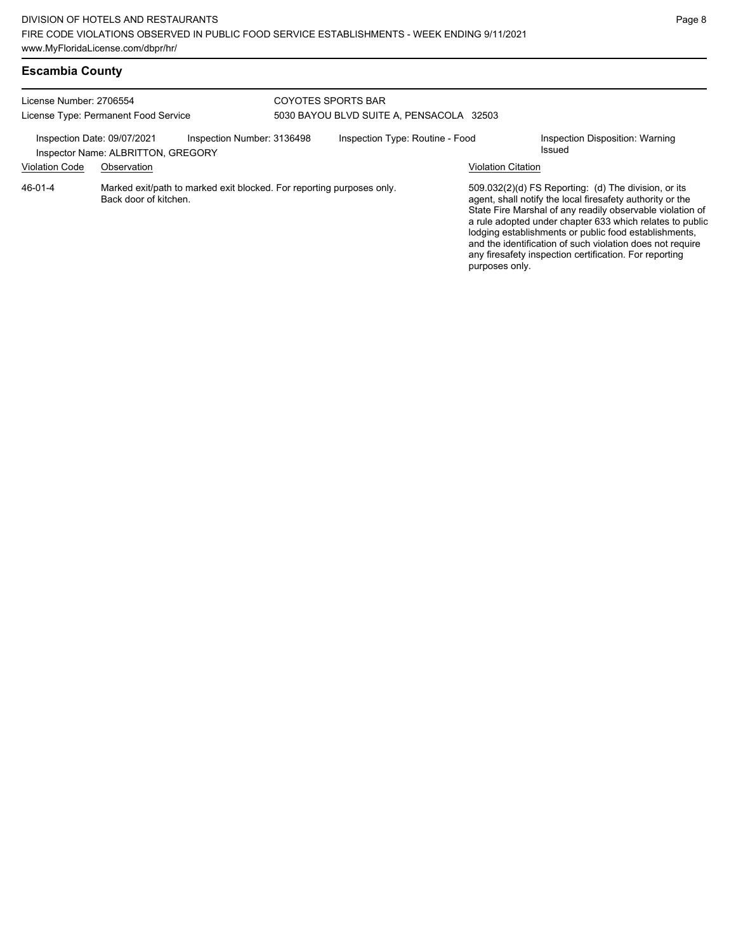| License Number: 2706554<br>License Type: Permanent Food Service |                                                   | COYOTES SPORTS BAR<br>5030 BAYOU BLVD SUITE A, PENSACOLA 32503        |  |                                 |                           |                                                                                                                                                                                                                                                                                                                                                                                                                            |
|-----------------------------------------------------------------|---------------------------------------------------|-----------------------------------------------------------------------|--|---------------------------------|---------------------------|----------------------------------------------------------------------------------------------------------------------------------------------------------------------------------------------------------------------------------------------------------------------------------------------------------------------------------------------------------------------------------------------------------------------------|
| Inspection Date: 09/07/2021<br><b>Violation Code</b>            | Inspector Name: ALBRITTON, GREGORY<br>Observation | Inspection Number: 3136498                                            |  | Inspection Type: Routine - Food | <b>Violation Citation</b> | Inspection Disposition: Warning<br>Issued                                                                                                                                                                                                                                                                                                                                                                                  |
| $46 - 01 - 4$                                                   | Back door of kitchen.                             | Marked exit/path to marked exit blocked. For reporting purposes only. |  |                                 | purposes only.            | 509.032(2)(d) FS Reporting: (d) The division, or its<br>agent, shall notify the local firesafety authority or the<br>State Fire Marshal of any readily observable violation of<br>a rule adopted under chapter 633 which relates to public<br>lodging establishments or public food establishments,<br>and the identification of such violation does not require<br>any firesafety inspection certification. For reporting |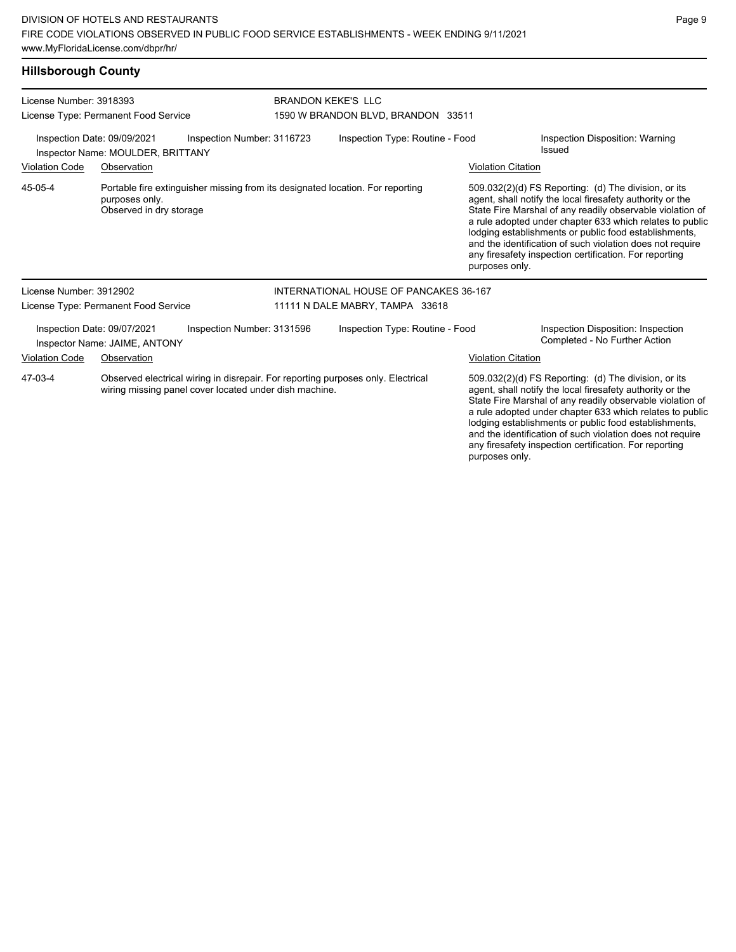#### **Hillsborough County**

| License Number: 3918393<br>License Type: Permanent Food Service |                                                                  |                                                                                                                                            | <b>BRANDON KEKE'S LLC</b><br>1590 W BRANDON BLVD, BRANDON 33511 |                           |                                                                                                                                                                                                                                                                                                                                                                                                                            |  |  |
|-----------------------------------------------------------------|------------------------------------------------------------------|--------------------------------------------------------------------------------------------------------------------------------------------|-----------------------------------------------------------------|---------------------------|----------------------------------------------------------------------------------------------------------------------------------------------------------------------------------------------------------------------------------------------------------------------------------------------------------------------------------------------------------------------------------------------------------------------------|--|--|
|                                                                 | Inspection Date: 09/09/2021<br>Inspector Name: MOULDER, BRITTANY | Inspection Number: 3116723                                                                                                                 | Inspection Type: Routine - Food                                 |                           | <b>Inspection Disposition: Warning</b><br>Issued                                                                                                                                                                                                                                                                                                                                                                           |  |  |
| <b>Violation Code</b>                                           | Observation                                                      |                                                                                                                                            |                                                                 | <b>Violation Citation</b> |                                                                                                                                                                                                                                                                                                                                                                                                                            |  |  |
| 45-05-4                                                         | purposes only.<br>Observed in dry storage                        | Portable fire extinguisher missing from its designated location. For reporting                                                             |                                                                 | purposes only.            | 509.032(2)(d) FS Reporting: (d) The division, or its<br>agent, shall notify the local firesafety authority or the<br>State Fire Marshal of any readily observable violation of<br>a rule adopted under chapter 633 which relates to public<br>lodging establishments or public food establishments,<br>and the identification of such violation does not require<br>any firesafety inspection certification. For reporting |  |  |
| License Number: 3912902                                         |                                                                  |                                                                                                                                            | INTERNATIONAL HOUSE OF PANCAKES 36-167                          |                           |                                                                                                                                                                                                                                                                                                                                                                                                                            |  |  |
|                                                                 | License Type: Permanent Food Service                             |                                                                                                                                            | 11111 N DALE MABRY, TAMPA 33618                                 |                           |                                                                                                                                                                                                                                                                                                                                                                                                                            |  |  |
|                                                                 | Inspection Date: 09/07/2021<br>Inspector Name: JAIME, ANTONY     | Inspection Number: 3131596                                                                                                                 | Inspection Type: Routine - Food                                 |                           | Inspection Disposition: Inspection<br>Completed - No Further Action                                                                                                                                                                                                                                                                                                                                                        |  |  |
| <b>Violation Code</b>                                           | Observation                                                      |                                                                                                                                            |                                                                 | <b>Violation Citation</b> |                                                                                                                                                                                                                                                                                                                                                                                                                            |  |  |
| 47-03-4                                                         |                                                                  | Observed electrical wiring in disrepair. For reporting purposes only. Electrical<br>wiring missing panel cover located under dish machine. |                                                                 |                           | 509.032(2)(d) FS Reporting: (d) The division, or its<br>agent, shall notify the local firesafety authority or the<br>State Fire Marshal of any readily observable violation of<br>a rule adopted under chapter 633 which relates to public<br>lodging establishments or public food establishments,                                                                                                                        |  |  |

Page 9

and the identification of such violation does not require any firesafety inspection certification. For reporting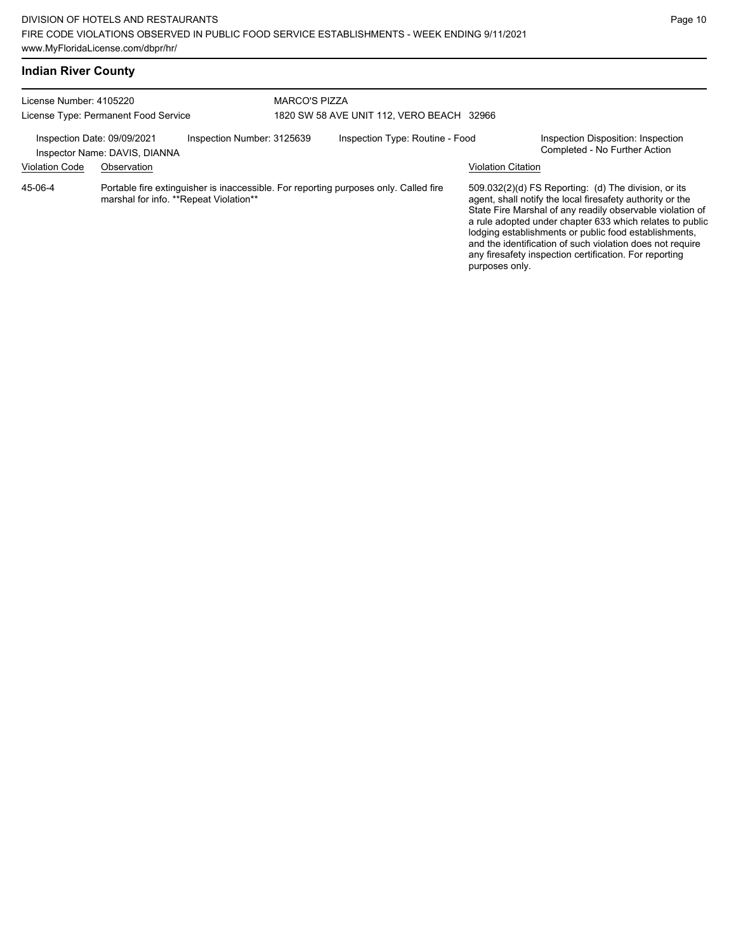and the identification of such violation does not require any firesafety inspection certification. For reporting

| <b>Indian River County</b>                                                                 |             |                                           |                      |                                                                                      |                           |                                                                                                                                                                                                                                                                                                     |
|--------------------------------------------------------------------------------------------|-------------|-------------------------------------------|----------------------|--------------------------------------------------------------------------------------|---------------------------|-----------------------------------------------------------------------------------------------------------------------------------------------------------------------------------------------------------------------------------------------------------------------------------------------------|
| License Number: 4105220                                                                    |             |                                           | <b>MARCO'S PIZZA</b> |                                                                                      |                           |                                                                                                                                                                                                                                                                                                     |
| License Type: Permanent Food Service                                                       |             | 1820 SW 58 AVE UNIT 112, VERO BEACH 32966 |                      |                                                                                      |                           |                                                                                                                                                                                                                                                                                                     |
| Inspection Date: 09/09/2021<br>Inspection Number: 3125639<br>Inspector Name: DAVIS, DIANNA |             | Inspection Type: Routine - Food           |                      | Inspection Disposition: Inspection<br>Completed - No Further Action                  |                           |                                                                                                                                                                                                                                                                                                     |
| <b>Violation Code</b>                                                                      | Observation |                                           |                      |                                                                                      | <b>Violation Citation</b> |                                                                                                                                                                                                                                                                                                     |
| 45-06-4                                                                                    |             | marshal for info. **Repeat Violation**    |                      | Portable fire extinguisher is inaccessible. For reporting purposes only. Called fire |                           | 509.032(2)(d) FS Reporting: (d) The division, or its<br>agent, shall notify the local firesafety authority or the<br>State Fire Marshal of any readily observable violation of<br>a rule adopted under chapter 633 which relates to public<br>lodging establishments or public food establishments, |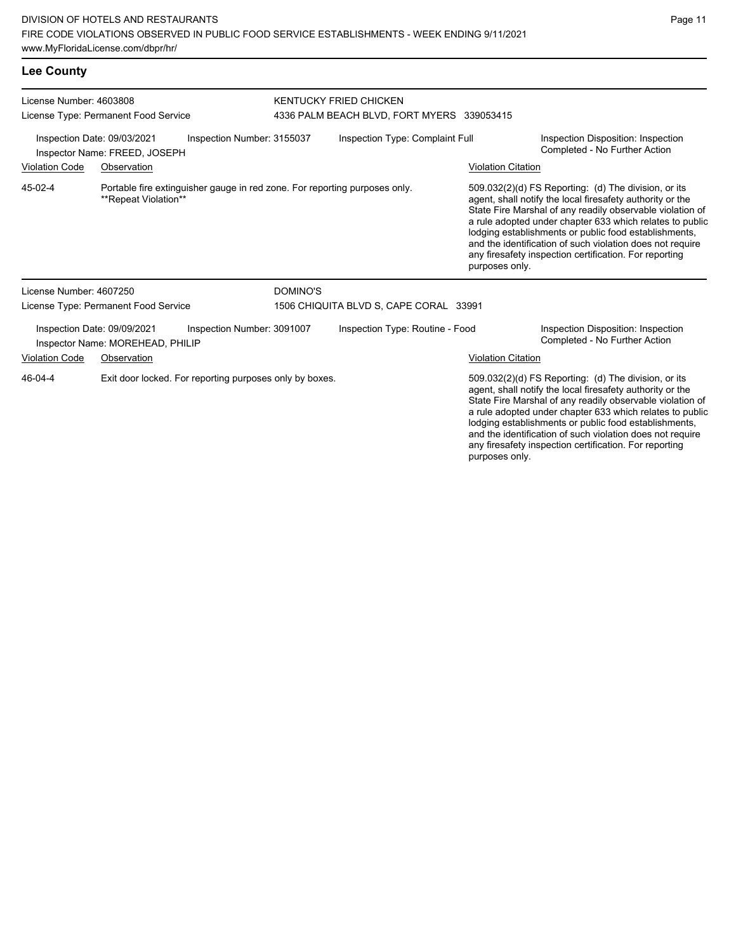## **Lee County**

| License Number: 4603808                                                                    |                                                                 | <b>KENTUCKY FRIED CHICKEN</b>                                              |                 |                                            |                           |                                                                                                                                                                                                                                                                                                                                                                                                                            |  |  |
|--------------------------------------------------------------------------------------------|-----------------------------------------------------------------|----------------------------------------------------------------------------|-----------------|--------------------------------------------|---------------------------|----------------------------------------------------------------------------------------------------------------------------------------------------------------------------------------------------------------------------------------------------------------------------------------------------------------------------------------------------------------------------------------------------------------------------|--|--|
|                                                                                            | License Type: Permanent Food Service                            |                                                                            |                 | 4336 PALM BEACH BLVD, FORT MYERS 339053415 |                           |                                                                                                                                                                                                                                                                                                                                                                                                                            |  |  |
| Inspection Date: 09/03/2021<br>Inspection Number: 3155037<br>Inspector Name: FREED, JOSEPH |                                                                 |                                                                            |                 | Inspection Type: Complaint Full            |                           | Inspection Disposition: Inspection<br>Completed - No Further Action                                                                                                                                                                                                                                                                                                                                                        |  |  |
| <b>Violation Code</b>                                                                      | Observation                                                     |                                                                            |                 |                                            | <b>Violation Citation</b> |                                                                                                                                                                                                                                                                                                                                                                                                                            |  |  |
| 45-02-4                                                                                    | **Repeat Violation**                                            | Portable fire extinguisher gauge in red zone. For reporting purposes only. |                 |                                            | purposes only.            | 509.032(2)(d) FS Reporting: (d) The division, or its<br>agent, shall notify the local firesafety authority or the<br>State Fire Marshal of any readily observable violation of<br>a rule adopted under chapter 633 which relates to public<br>lodging establishments or public food establishments,<br>and the identification of such violation does not require<br>any firesafety inspection certification. For reporting |  |  |
| License Number: 4607250                                                                    |                                                                 |                                                                            | <b>DOMINO'S</b> |                                            |                           |                                                                                                                                                                                                                                                                                                                                                                                                                            |  |  |
|                                                                                            | License Type: Permanent Food Service                            |                                                                            |                 | 1506 CHIQUITA BLVD S, CAPE CORAL 33991     |                           |                                                                                                                                                                                                                                                                                                                                                                                                                            |  |  |
|                                                                                            | Inspection Date: 09/09/2021<br>Inspector Name: MOREHEAD, PHILIP | Inspection Number: 3091007                                                 |                 | Inspection Type: Routine - Food            |                           | Inspection Disposition: Inspection<br>Completed - No Further Action                                                                                                                                                                                                                                                                                                                                                        |  |  |
| <b>Violation Code</b>                                                                      | Observation                                                     |                                                                            |                 |                                            | <b>Violation Citation</b> |                                                                                                                                                                                                                                                                                                                                                                                                                            |  |  |
| 46-04-4                                                                                    |                                                                 | Exit door locked. For reporting purposes only by boxes.                    |                 |                                            |                           | 509.032(2)(d) FS Reporting: (d) The division, or its<br>agent, shall notify the local firesafety authority or the<br>State Fire Marshal of any readily observable violation of<br>a rule adopted under chapter 633 which relates to public<br>lodging establishments or public food establishments,<br>and the identification of such violation does not require                                                           |  |  |

any firesafety inspection certification. For reporting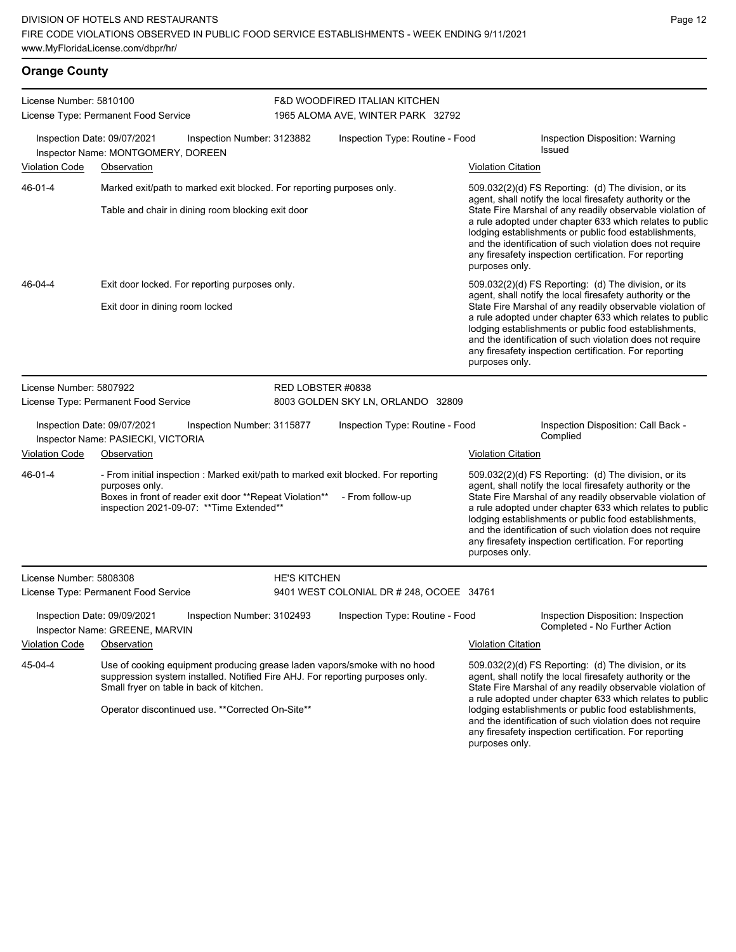**Orange County**

| License Number: 5810100                                                                                                                                                                                                                                                                                                                                                                                             | License Type: Permanent Food Service                              |                                                                                                                            | <b>F&amp;D WOODFIRED ITALIAN KITCHEN</b><br>1965 ALOMA AVE, WINTER PARK 32792                                                                              |                                                                                                                       |                                                                                                                                                                                                                                                                                                                                                                                                                            |                                                                                                                                                                                                                                                                                                                                                                                                                              |  |  |
|---------------------------------------------------------------------------------------------------------------------------------------------------------------------------------------------------------------------------------------------------------------------------------------------------------------------------------------------------------------------------------------------------------------------|-------------------------------------------------------------------|----------------------------------------------------------------------------------------------------------------------------|------------------------------------------------------------------------------------------------------------------------------------------------------------|-----------------------------------------------------------------------------------------------------------------------|----------------------------------------------------------------------------------------------------------------------------------------------------------------------------------------------------------------------------------------------------------------------------------------------------------------------------------------------------------------------------------------------------------------------------|------------------------------------------------------------------------------------------------------------------------------------------------------------------------------------------------------------------------------------------------------------------------------------------------------------------------------------------------------------------------------------------------------------------------------|--|--|
| Inspection Date: 09/07/2021<br>Inspection Number: 3123882<br>Inspector Name: MONTGOMERY, DOREEN                                                                                                                                                                                                                                                                                                                     |                                                                   |                                                                                                                            |                                                                                                                                                            | Inspection Type: Routine - Food                                                                                       | Inspection Disposition: Warning<br>Issued                                                                                                                                                                                                                                                                                                                                                                                  |                                                                                                                                                                                                                                                                                                                                                                                                                              |  |  |
| Violation Code<br>Observation                                                                                                                                                                                                                                                                                                                                                                                       |                                                                   |                                                                                                                            |                                                                                                                                                            |                                                                                                                       | <b>Violation Citation</b>                                                                                                                                                                                                                                                                                                                                                                                                  |                                                                                                                                                                                                                                                                                                                                                                                                                              |  |  |
| 46-01-4                                                                                                                                                                                                                                                                                                                                                                                                             |                                                                   | Marked exit/path to marked exit blocked. For reporting purposes only.<br>Table and chair in dining room blocking exit door |                                                                                                                                                            |                                                                                                                       | purposes only.                                                                                                                                                                                                                                                                                                                                                                                                             | $509.032(2)(d)$ FS Reporting: (d) The division, or its<br>agent, shall notify the local firesafety authority or the<br>State Fire Marshal of any readily observable violation of<br>a rule adopted under chapter 633 which relates to public<br>lodging establishments or public food establishments,<br>and the identification of such violation does not require<br>any firesafety inspection certification. For reporting |  |  |
| 509.032(2)(d) FS Reporting: (d) The division, or its<br>46-04-4<br>Exit door locked. For reporting purposes only.<br>agent, shall notify the local firesafety authority or the<br>Exit door in dining room locked<br>lodging establishments or public food establishments,<br>and the identification of such violation does not require<br>any firesafety inspection certification. For reporting<br>purposes only. |                                                                   |                                                                                                                            |                                                                                                                                                            | State Fire Marshal of any readily observable violation of<br>a rule adopted under chapter 633 which relates to public |                                                                                                                                                                                                                                                                                                                                                                                                                            |                                                                                                                                                                                                                                                                                                                                                                                                                              |  |  |
| License Number: 5807922                                                                                                                                                                                                                                                                                                                                                                                             |                                                                   |                                                                                                                            | RED LOBSTER #0838                                                                                                                                          |                                                                                                                       |                                                                                                                                                                                                                                                                                                                                                                                                                            |                                                                                                                                                                                                                                                                                                                                                                                                                              |  |  |
|                                                                                                                                                                                                                                                                                                                                                                                                                     | License Type: Permanent Food Service                              |                                                                                                                            |                                                                                                                                                            | 8003 GOLDEN SKY LN, ORLANDO 32809                                                                                     |                                                                                                                                                                                                                                                                                                                                                                                                                            |                                                                                                                                                                                                                                                                                                                                                                                                                              |  |  |
|                                                                                                                                                                                                                                                                                                                                                                                                                     | Inspection Date: 09/07/2021<br>Inspector Name: PASIECKI, VICTORIA | Inspection Number: 3115877                                                                                                 |                                                                                                                                                            | Inspection Type: Routine - Food                                                                                       |                                                                                                                                                                                                                                                                                                                                                                                                                            | Inspection Disposition: Call Back -<br>Complied                                                                                                                                                                                                                                                                                                                                                                              |  |  |
| Violation Code                                                                                                                                                                                                                                                                                                                                                                                                      | Observation                                                       |                                                                                                                            |                                                                                                                                                            |                                                                                                                       | <b>Violation Citation</b>                                                                                                                                                                                                                                                                                                                                                                                                  |                                                                                                                                                                                                                                                                                                                                                                                                                              |  |  |
| 46-01-4                                                                                                                                                                                                                                                                                                                                                                                                             | purposes only.                                                    | Boxes in front of reader exit door **Repeat Violation**<br>inspection 2021-09-07: ** Time Extended**                       |                                                                                                                                                            | - From initial inspection : Marked exit/path to marked exit blocked. For reporting<br>- From follow-up                | purposes only.                                                                                                                                                                                                                                                                                                                                                                                                             | 509.032(2)(d) FS Reporting: (d) The division, or its<br>agent, shall notify the local firesafety authority or the<br>State Fire Marshal of any readily observable violation of<br>a rule adopted under chapter 633 which relates to public<br>lodging establishments or public food establishments,<br>and the identification of such violation does not require<br>any firesafety inspection certification. For reporting   |  |  |
| License Number: 5808308                                                                                                                                                                                                                                                                                                                                                                                             |                                                                   |                                                                                                                            | <b>HE'S KITCHEN</b>                                                                                                                                        |                                                                                                                       |                                                                                                                                                                                                                                                                                                                                                                                                                            |                                                                                                                                                                                                                                                                                                                                                                                                                              |  |  |
|                                                                                                                                                                                                                                                                                                                                                                                                                     | License Type: Permanent Food Service                              |                                                                                                                            |                                                                                                                                                            | 9401 WEST COLONIAL DR # 248, OCOEE 34761                                                                              |                                                                                                                                                                                                                                                                                                                                                                                                                            |                                                                                                                                                                                                                                                                                                                                                                                                                              |  |  |
|                                                                                                                                                                                                                                                                                                                                                                                                                     | Inspection Date: 09/09/2021<br>Inspector Name: GREENE, MARVIN     | Inspection Number: 3102493                                                                                                 |                                                                                                                                                            | Inspection Type: Routine - Food                                                                                       |                                                                                                                                                                                                                                                                                                                                                                                                                            | Inspection Disposition: Inspection<br>Completed - No Further Action                                                                                                                                                                                                                                                                                                                                                          |  |  |
| <b>Violation Code</b>                                                                                                                                                                                                                                                                                                                                                                                               | Observation                                                       |                                                                                                                            |                                                                                                                                                            |                                                                                                                       | <b>Violation Citation</b>                                                                                                                                                                                                                                                                                                                                                                                                  |                                                                                                                                                                                                                                                                                                                                                                                                                              |  |  |
| 45-04-4                                                                                                                                                                                                                                                                                                                                                                                                             |                                                                   | Small fryer on table in back of kitchen.                                                                                   | Use of cooking equipment producing grease laden vapors/smoke with no hood<br>suppression system installed. Notified Fire AHJ. For reporting purposes only. |                                                                                                                       | 509.032(2)(d) FS Reporting: (d) The division, or its<br>agent, shall notify the local firesafety authority or the<br>State Fire Marshal of any readily observable violation of<br>a rule adopted under chapter 633 which relates to public<br>lodging establishments or public food establishments,<br>and the identification of such violation does not require<br>any firesafety inspection certification. For reporting |                                                                                                                                                                                                                                                                                                                                                                                                                              |  |  |
|                                                                                                                                                                                                                                                                                                                                                                                                                     |                                                                   | Operator discontinued use. ** Corrected On-Site**                                                                          |                                                                                                                                                            |                                                                                                                       |                                                                                                                                                                                                                                                                                                                                                                                                                            |                                                                                                                                                                                                                                                                                                                                                                                                                              |  |  |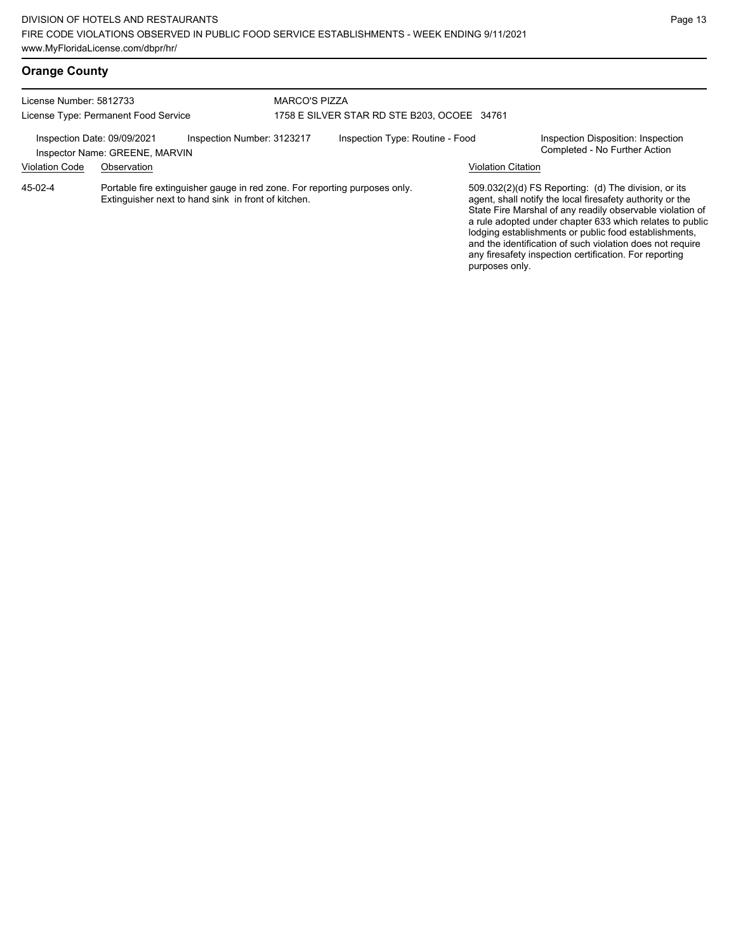## **Orange County**

| License Number: 5812733                              | License Type: Permanent Food Service                                                                                              | <b>MARCO'S PIZZA</b><br>1758 E SILVER STAR RD STE B203, OCOEE 34761 |  |                    |                                                                                                                                                                                                                                                                                                                                                                                                                              |  |
|------------------------------------------------------|-----------------------------------------------------------------------------------------------------------------------------------|---------------------------------------------------------------------|--|--------------------|------------------------------------------------------------------------------------------------------------------------------------------------------------------------------------------------------------------------------------------------------------------------------------------------------------------------------------------------------------------------------------------------------------------------------|--|
| Inspection Date: 09/09/2021<br><b>Violation Code</b> | Inspection Number: 3123217<br>Inspector Name: GREENE, MARVIN<br>Observation                                                       | Inspection Type: Routine - Food                                     |  | Violation Citation | Inspection Disposition: Inspection<br>Completed - No Further Action                                                                                                                                                                                                                                                                                                                                                          |  |
| 45-02-4                                              | Portable fire extinguisher gauge in red zone. For reporting purposes only.<br>Extinguisher next to hand sink in front of kitchen. |                                                                     |  | purposes only.     | $509.032(2)(d)$ FS Reporting: (d) The division, or its<br>agent, shall notify the local firesafety authority or the<br>State Fire Marshal of any readily observable violation of<br>a rule adopted under chapter 633 which relates to public<br>lodging establishments or public food establishments,<br>and the identification of such violation does not require<br>any firesafety inspection certification. For reporting |  |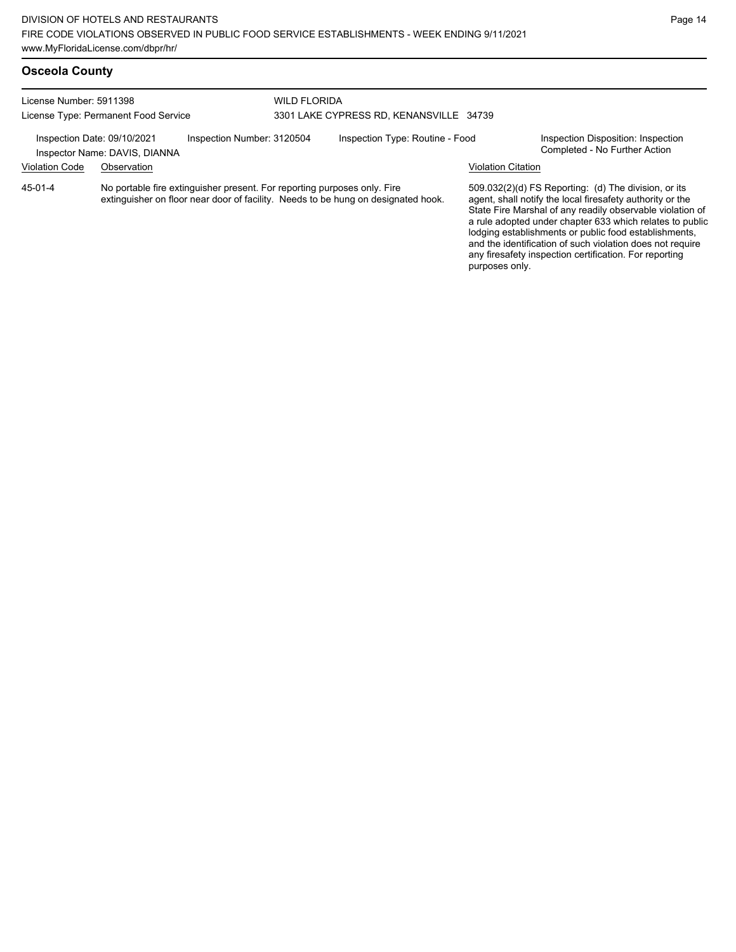License Number: 5911398 License Type: Permanent Food Service WILD FLORIDA 3301 LAKE CYPRESS RD, KENANSVILLE 34739 Inspection Date: 09/10/2021 Inspection Number: 3120504 Inspection Type: Routine - Food Inspection Disposition: Inspection<br>Inspector Name: DAVIS DIANNA Inspector Name: DAVIS, DIANNA Violation Code Observation Violation Citation No portable fire extinguisher present. For reporting purposes only. Fire extinguisher on floor near door of facility. Needs to be hung on designated hook. 509.032(2)(d) FS Reporting: (d) The division, or its agent, shall notify the local firesafety authority or the State Fire Marshal of any readily observable violation of a rule adopted under chapter 633 which relates to public lodging establishments or public food establishments, 45-01-4

and the identification of such violation does not require any firesafety inspection certification. For reporting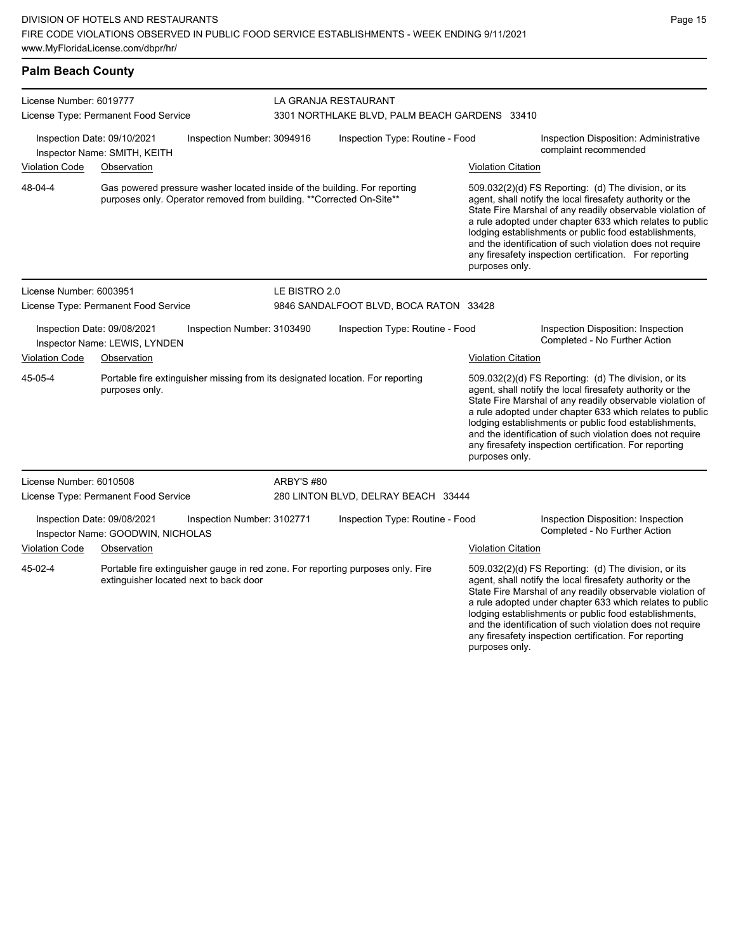## **Palm Beach County**

| License Number: 6019777                                                                                     |                                                                                                                                                    |                                        | LA GRANJA RESTAURANT                          |                                                                                 |                                                                                                                                                                                                                                                                                                                                                                                                                                              |                                                                                                                                                                                                                                                                                                                                                                                                                            |  |  |
|-------------------------------------------------------------------------------------------------------------|----------------------------------------------------------------------------------------------------------------------------------------------------|----------------------------------------|-----------------------------------------------|---------------------------------------------------------------------------------|----------------------------------------------------------------------------------------------------------------------------------------------------------------------------------------------------------------------------------------------------------------------------------------------------------------------------------------------------------------------------------------------------------------------------------------------|----------------------------------------------------------------------------------------------------------------------------------------------------------------------------------------------------------------------------------------------------------------------------------------------------------------------------------------------------------------------------------------------------------------------------|--|--|
|                                                                                                             | License Type: Permanent Food Service                                                                                                               |                                        | 3301 NORTHLAKE BLVD, PALM BEACH GARDENS 33410 |                                                                                 |                                                                                                                                                                                                                                                                                                                                                                                                                                              |                                                                                                                                                                                                                                                                                                                                                                                                                            |  |  |
| Inspection Date: 09/10/2021<br>Inspection Number: 3094916<br>Inspector Name: SMITH, KEITH                   |                                                                                                                                                    |                                        | Inspection Type: Routine - Food               |                                                                                 | Inspection Disposition: Administrative<br>complaint recommended                                                                                                                                                                                                                                                                                                                                                                              |                                                                                                                                                                                                                                                                                                                                                                                                                            |  |  |
| <b>Violation Code</b>                                                                                       | Observation                                                                                                                                        |                                        |                                               |                                                                                 | <b>Violation Citation</b>                                                                                                                                                                                                                                                                                                                                                                                                                    |                                                                                                                                                                                                                                                                                                                                                                                                                            |  |  |
| 48-04-4                                                                                                     | Gas powered pressure washer located inside of the building. For reporting<br>purposes only. Operator removed from building. ** Corrected On-Site** |                                        |                                               |                                                                                 | 509.032(2)(d) FS Reporting: (d) The division, or its<br>agent, shall notify the local firesafety authority or the<br>State Fire Marshal of any readily observable violation of<br>a rule adopted under chapter 633 which relates to public<br>lodging establishments or public food establishments,<br>and the identification of such violation does not require<br>any firesafety inspection certification. For reporting<br>purposes only. |                                                                                                                                                                                                                                                                                                                                                                                                                            |  |  |
| License Number: 6003951                                                                                     |                                                                                                                                                    |                                        | LE BISTRO 2.0                                 |                                                                                 |                                                                                                                                                                                                                                                                                                                                                                                                                                              |                                                                                                                                                                                                                                                                                                                                                                                                                            |  |  |
|                                                                                                             | License Type: Permanent Food Service                                                                                                               |                                        |                                               | 9846 SANDALFOOT BLVD, BOCA RATON 33428                                          |                                                                                                                                                                                                                                                                                                                                                                                                                                              |                                                                                                                                                                                                                                                                                                                                                                                                                            |  |  |
|                                                                                                             | Inspection Date: 09/08/2021<br>Inspector Name: LEWIS, LYNDEN                                                                                       | Inspection Number: 3103490             |                                               | Inspection Type: Routine - Food                                                 |                                                                                                                                                                                                                                                                                                                                                                                                                                              | Inspection Disposition: Inspection<br>Completed - No Further Action                                                                                                                                                                                                                                                                                                                                                        |  |  |
| <b>Violation Code</b>                                                                                       | Observation                                                                                                                                        |                                        |                                               |                                                                                 | <b>Violation Citation</b>                                                                                                                                                                                                                                                                                                                                                                                                                    |                                                                                                                                                                                                                                                                                                                                                                                                                            |  |  |
| 45-05-4<br>Portable fire extinguisher missing from its designated location. For reporting<br>purposes only. |                                                                                                                                                    |                                        |                                               | purposes only.                                                                  | 509.032(2)(d) FS Reporting: (d) The division, or its<br>agent, shall notify the local firesafety authority or the<br>State Fire Marshal of any readily observable violation of<br>a rule adopted under chapter 633 which relates to public<br>lodging establishments or public food establishments,<br>and the identification of such violation does not require<br>any firesafety inspection certification. For reporting                   |                                                                                                                                                                                                                                                                                                                                                                                                                            |  |  |
| License Number: 6010508                                                                                     |                                                                                                                                                    |                                        | <b>ARBY'S #80</b>                             |                                                                                 |                                                                                                                                                                                                                                                                                                                                                                                                                                              |                                                                                                                                                                                                                                                                                                                                                                                                                            |  |  |
|                                                                                                             | License Type: Permanent Food Service                                                                                                               |                                        | 280 LINTON BLVD, DELRAY BEACH 33444           |                                                                                 |                                                                                                                                                                                                                                                                                                                                                                                                                                              |                                                                                                                                                                                                                                                                                                                                                                                                                            |  |  |
| Inspection Date: 09/08/2021<br>Inspection Number: 3102771<br>Inspector Name: GOODWIN, NICHOLAS              |                                                                                                                                                    |                                        | Inspection Type: Routine - Food               |                                                                                 |                                                                                                                                                                                                                                                                                                                                                                                                                                              | Inspection Disposition: Inspection<br>Completed - No Further Action                                                                                                                                                                                                                                                                                                                                                        |  |  |
| <b>Violation Code</b>                                                                                       | Observation                                                                                                                                        |                                        |                                               |                                                                                 | <b>Violation Citation</b>                                                                                                                                                                                                                                                                                                                                                                                                                    |                                                                                                                                                                                                                                                                                                                                                                                                                            |  |  |
| 45-02-4                                                                                                     |                                                                                                                                                    | extinguisher located next to back door |                                               | Portable fire extinguisher gauge in red zone. For reporting purposes only. Fire |                                                                                                                                                                                                                                                                                                                                                                                                                                              | 509.032(2)(d) FS Reporting: (d) The division, or its<br>agent, shall notify the local firesafety authority or the<br>State Fire Marshal of any readily observable violation of<br>a rule adopted under chapter 633 which relates to public<br>lodging establishments or public food establishments,<br>and the identification of such violation does not require<br>any firesafety inspection certification. For reporting |  |  |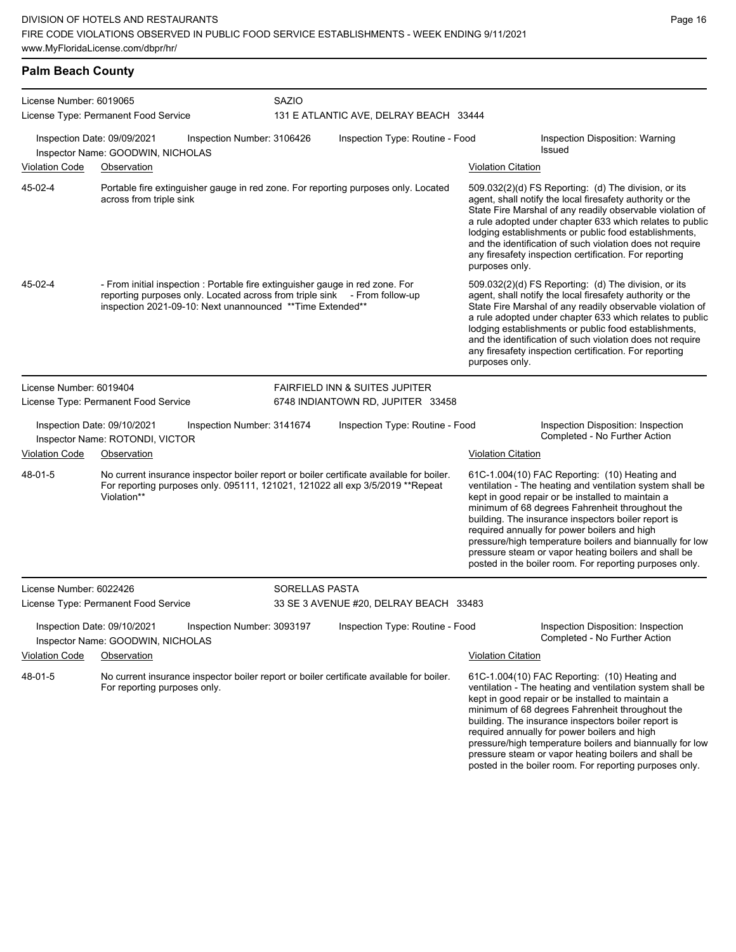|  |  | <b>Palm Beach County</b> |
|--|--|--------------------------|
|--|--|--------------------------|

| License Number: 6019065<br>License Type: Permanent Food Service |                                                                                                                                                                                                                          | <b>SAZIO</b>               | 131 E ATLANTIC AVE, DELRAY BEACH 33444 |                                                                                                                                                                                                                                                                                                                                                                                                                                                |                                                                                                                                                                                                                                                                                                                                                                                                                                                                                                          |  |  |
|-----------------------------------------------------------------|--------------------------------------------------------------------------------------------------------------------------------------------------------------------------------------------------------------------------|----------------------------|----------------------------------------|------------------------------------------------------------------------------------------------------------------------------------------------------------------------------------------------------------------------------------------------------------------------------------------------------------------------------------------------------------------------------------------------------------------------------------------------|----------------------------------------------------------------------------------------------------------------------------------------------------------------------------------------------------------------------------------------------------------------------------------------------------------------------------------------------------------------------------------------------------------------------------------------------------------------------------------------------------------|--|--|
|                                                                 | Inspection Date: 09/09/2021<br>Inspector Name: GOODWIN, NICHOLAS                                                                                                                                                         | Inspection Number: 3106426 | Inspection Type: Routine - Food        |                                                                                                                                                                                                                                                                                                                                                                                                                                                | Inspection Disposition: Warning<br>Issued                                                                                                                                                                                                                                                                                                                                                                                                                                                                |  |  |
| <b>Violation Code</b>                                           | Observation                                                                                                                                                                                                              |                            |                                        | <b>Violation Citation</b>                                                                                                                                                                                                                                                                                                                                                                                                                      |                                                                                                                                                                                                                                                                                                                                                                                                                                                                                                          |  |  |
| 45-02-4                                                         | Portable fire extinguisher gauge in red zone. For reporting purposes only. Located<br>across from triple sink                                                                                                            |                            |                                        | $509.032(2)(d)$ FS Reporting: (d) The division, or its<br>agent, shall notify the local firesafety authority or the<br>State Fire Marshal of any readily observable violation of<br>a rule adopted under chapter 633 which relates to public<br>lodging establishments or public food establishments,<br>and the identification of such violation does not require<br>any firesafety inspection certification. For reporting<br>purposes only. |                                                                                                                                                                                                                                                                                                                                                                                                                                                                                                          |  |  |
| 45-02-4                                                         | - From initial inspection : Portable fire extinguisher gauge in red zone. For<br>reporting purposes only. Located across from triple sink - From follow-up<br>inspection 2021-09-10: Next unannounced ** Time Extended** |                            |                                        | 509.032(2)(d) FS Reporting: (d) The division, or its<br>agent, shall notify the local firesafety authority or the<br>State Fire Marshal of any readily observable violation of<br>a rule adopted under chapter 633 which relates to public<br>lodging establishments or public food establishments,<br>and the identification of such violation does not require<br>any firesafety inspection certification. For reporting<br>purposes only.   |                                                                                                                                                                                                                                                                                                                                                                                                                                                                                                          |  |  |
| License Number: 6019404                                         |                                                                                                                                                                                                                          |                            | FAIRFIELD INN & SUITES JUPITER         |                                                                                                                                                                                                                                                                                                                                                                                                                                                |                                                                                                                                                                                                                                                                                                                                                                                                                                                                                                          |  |  |
|                                                                 | License Type: Permanent Food Service                                                                                                                                                                                     |                            | 6748 INDIANTOWN RD, JUPITER 33458      |                                                                                                                                                                                                                                                                                                                                                                                                                                                |                                                                                                                                                                                                                                                                                                                                                                                                                                                                                                          |  |  |
|                                                                 | Inspection Date: 09/10/2021<br>Inspector Name: ROTONDI, VICTOR                                                                                                                                                           | Inspection Number: 3141674 | Inspection Type: Routine - Food        |                                                                                                                                                                                                                                                                                                                                                                                                                                                | Inspection Disposition: Inspection<br>Completed - No Further Action                                                                                                                                                                                                                                                                                                                                                                                                                                      |  |  |
| <b>Violation Code</b>                                           | Observation                                                                                                                                                                                                              |                            |                                        | <b>Violation Citation</b>                                                                                                                                                                                                                                                                                                                                                                                                                      |                                                                                                                                                                                                                                                                                                                                                                                                                                                                                                          |  |  |
| 48-01-5                                                         | No current insurance inspector boiler report or boiler certificate available for boiler.<br>For reporting purposes only. 095111, 121021, 121022 all exp 3/5/2019 ** Repeat<br>Violation**                                |                            |                                        |                                                                                                                                                                                                                                                                                                                                                                                                                                                | 61C-1.004(10) FAC Reporting: (10) Heating and<br>ventilation - The heating and ventilation system shall be<br>kept in good repair or be installed to maintain a<br>minimum of 68 degrees Fahrenheit throughout the<br>building. The insurance inspectors boiler report is<br>required annually for power boilers and high<br>pressure/high temperature boilers and biannually for low<br>pressure steam or vapor heating boilers and shall be<br>posted in the boiler room. For reporting purposes only. |  |  |
| License Number: 6022426                                         |                                                                                                                                                                                                                          | SORELLAS PASTA             |                                        |                                                                                                                                                                                                                                                                                                                                                                                                                                                |                                                                                                                                                                                                                                                                                                                                                                                                                                                                                                          |  |  |
|                                                                 | License Type: Permanent Food Service                                                                                                                                                                                     |                            | 33 SE 3 AVENUE #20, DELRAY BEACH 33483 |                                                                                                                                                                                                                                                                                                                                                                                                                                                |                                                                                                                                                                                                                                                                                                                                                                                                                                                                                                          |  |  |
|                                                                 | Inspection Date: 09/10/2021<br>Inspector Name: GOODWIN, NICHOLAS                                                                                                                                                         | Inspection Number: 3093197 | Inspection Type: Routine - Food        |                                                                                                                                                                                                                                                                                                                                                                                                                                                | Inspection Disposition: Inspection<br>Completed - No Further Action                                                                                                                                                                                                                                                                                                                                                                                                                                      |  |  |
| <b>Violation Code</b>                                           | Observation                                                                                                                                                                                                              |                            |                                        | <b>Violation Citation</b>                                                                                                                                                                                                                                                                                                                                                                                                                      |                                                                                                                                                                                                                                                                                                                                                                                                                                                                                                          |  |  |
| 48-01-5                                                         | No current insurance inspector boiler report or boiler certificate available for boiler.<br>For reporting purposes only.                                                                                                 |                            |                                        |                                                                                                                                                                                                                                                                                                                                                                                                                                                | 61C-1.004(10) FAC Reporting: (10) Heating and<br>ventilation - The heating and ventilation system shall be<br>kept in good repair or be installed to maintain a<br>minimum of 68 degrees Fahrenheit throughout the<br>building. The insurance inspectors boiler report is<br>required annually for power boilers and high<br>pressure/high temperature boilers and biannually for low<br>pressure steam or vapor heating boilers and shall be<br>posted in the boiler room. For reporting purposes only. |  |  |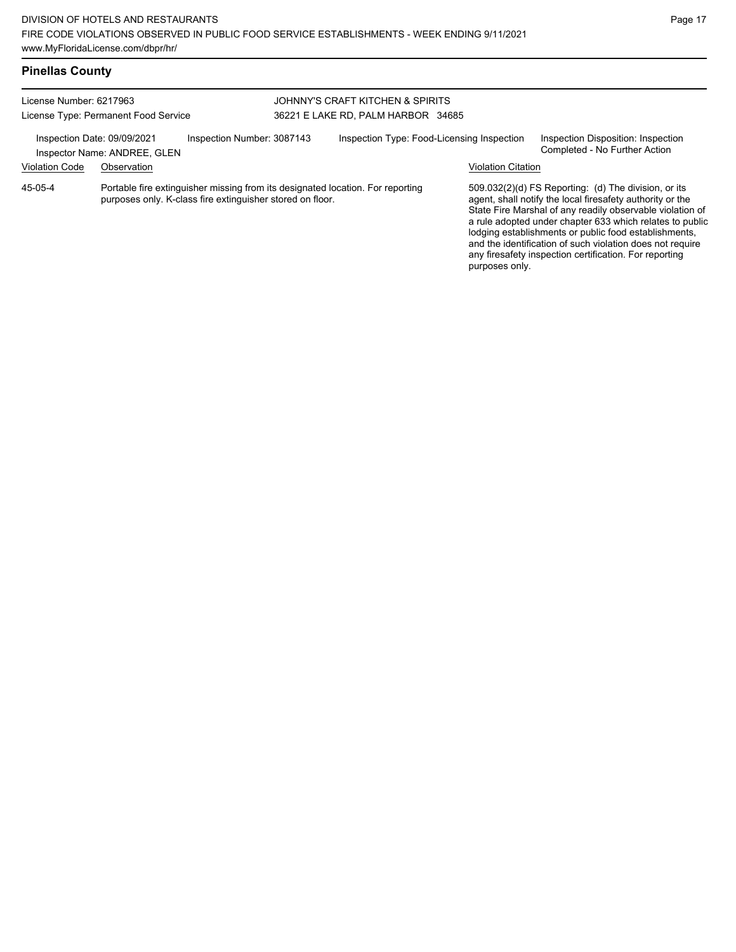| <b>Pinellas County</b> |  |
|------------------------|--|
|------------------------|--|

| License Number: 6217963<br>License Type: Permanent Food Service<br>Inspection Date: 09/09/2021<br>Inspection Number: 3087143<br>Inspector Name: ANDREE, GLEN |             |  | JOHNNY'S CRAFT KITCHEN & SPIRITS<br>36221 E LAKE RD, PALM HARBOR 34685 |  |                           |                                                                                                                                                                                                                                                                                                                                                                                                                            |  |
|--------------------------------------------------------------------------------------------------------------------------------------------------------------|-------------|--|------------------------------------------------------------------------|--|---------------------------|----------------------------------------------------------------------------------------------------------------------------------------------------------------------------------------------------------------------------------------------------------------------------------------------------------------------------------------------------------------------------------------------------------------------------|--|
|                                                                                                                                                              |             |  | Inspection Type: Food-Licensing Inspection                             |  |                           | Inspection Disposition: Inspection<br>Completed - No Further Action                                                                                                                                                                                                                                                                                                                                                        |  |
| <b>Violation Code</b>                                                                                                                                        | Observation |  |                                                                        |  | <b>Violation Citation</b> |                                                                                                                                                                                                                                                                                                                                                                                                                            |  |
| Portable fire extinguisher missing from its designated location. For reporting<br>45-05-4<br>purposes only. K-class fire extinguisher stored on floor.       |             |  |                                                                        |  | purposes only.            | 509.032(2)(d) FS Reporting: (d) The division, or its<br>agent, shall notify the local firesafety authority or the<br>State Fire Marshal of any readily observable violation of<br>a rule adopted under chapter 633 which relates to public<br>lodging establishments or public food establishments,<br>and the identification of such violation does not require<br>any firesafety inspection certification. For reporting |  |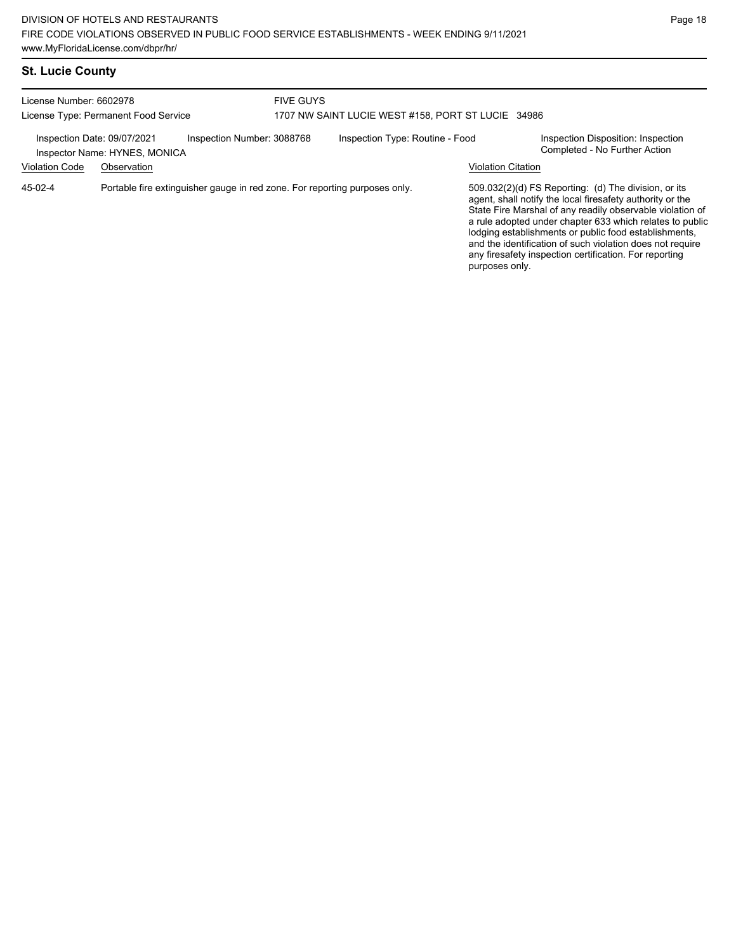# **St. Lucie County**

| License Number: 6602978<br>License Type: Permanent Food Service                            |             |  | <b>FIVE GUYS</b><br>1707 NW SAINT LUCIE WEST #158, PORT ST LUCIE 34986 |                                 |                           |                                                                                                                                                                                                                                                                                                                                                                                                                            |  |
|--------------------------------------------------------------------------------------------|-------------|--|------------------------------------------------------------------------|---------------------------------|---------------------------|----------------------------------------------------------------------------------------------------------------------------------------------------------------------------------------------------------------------------------------------------------------------------------------------------------------------------------------------------------------------------------------------------------------------------|--|
| Inspection Number: 3088768<br>Inspection Date: 09/07/2021<br>Inspector Name: HYNES, MONICA |             |  |                                                                        | Inspection Type: Routine - Food |                           | Inspection Disposition: Inspection<br>Completed - No Further Action                                                                                                                                                                                                                                                                                                                                                        |  |
| <b>Violation Code</b>                                                                      | Observation |  |                                                                        |                                 | <b>Violation Citation</b> |                                                                                                                                                                                                                                                                                                                                                                                                                            |  |
| Portable fire extinguisher gauge in red zone. For reporting purposes only.<br>45-02-4      |             |  |                                                                        |                                 | purposes only.            | 509.032(2)(d) FS Reporting: (d) The division, or its<br>agent, shall notify the local firesafety authority or the<br>State Fire Marshal of any readily observable violation of<br>a rule adopted under chapter 633 which relates to public<br>lodging establishments or public food establishments,<br>and the identification of such violation does not require<br>any firesafety inspection certification. For reporting |  |